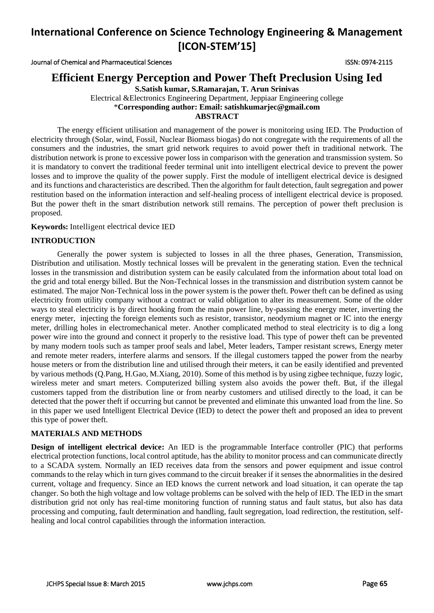Journal of Chemical and Pharmaceutical Sciences ISSN: 0974-2115

## **Efficient Energy Perception and Power Theft Preclusion Using Ied**

**S.Satish kumar, S.Ramarajan, T. Arun Srinivas**

Electrical &Electronics Engineering Department, Jeppiaar Engineering college \***Corresponding author: Email: satishkumarjec@gmail.com ABSTRACT**

The energy efficient utilisation and management of the power is monitoring using IED. The Production of electricity through (Solar, wind, Fossil, Nuclear Biomass biogas) do not congregate with the requirements of all the consumers and the industries, the smart grid network requires to avoid power theft in traditional network. The distribution network is prone to excessive power loss in comparison with the generation and transmission system. So it is mandatory to convert the traditional feeder terminal unit into intelligent electrical device to prevent the power losses and to improve the quality of the power supply. First the module of intelligent electrical device is designed and its functions and characteristics are described. Then the algorithm for fault detection, fault segregation and power restitution based on the information interaction and self-healing process of intelligent electrical device is proposed. But the power theft in the smart distribution network still remains. The perception of power theft preclusion is proposed.

#### **Keywords:** Intelligent electrical device IED

### **INTRODUCTION**

Generally the power system is subjected to losses in all the three phases, Generation, Transmission, Distribution and utilisation. Mostly technical losses will be prevalent in the generating station. Even the technical losses in the transmission and distribution system can be easily calculated from the information about total load on the grid and total energy billed. But the Non-Technical losses in the transmission and distribution system cannot be estimated. The major Non-Technical loss in the power system is the power theft. Power theft can be defined as using electricity from utility company without a contract or valid obligation to alter its measurement. Some of the older ways to steal electricity is by direct hooking from the main power line, by-passing the energy meter, inverting the energy meter, injecting the foreign elements such as resistor, transistor, neodymium magnet or IC into the energy meter, drilling holes in electromechanical meter. Another complicated method to steal electricity is to dig a long power wire into the ground and connect it properly to the resistive load. This type of power theft can be prevented by many modern tools such as tamper proof seals and label, Meter leaders, Tamper resistant screws, Energy meter and remote meter readers, interfere alarms and sensors. If the illegal customers tapped the power from the nearby house meters or from the distribution line and utilised through their meters, it can be easily identified and prevented by various methods (Q.Pang, H.Gao, M.Xiang, 2010). Some of this method is by using zigbee technique, fuzzy logic, wireless meter and smart meters. Computerized billing system also avoids the power theft. But, if the illegal customers tapped from the distribution line or from nearby customers and utilised directly to the load, it can be detected that the power theft if occurring but cannot be prevented and eliminate this unwanted load from the line. So in this paper we used Intelligent Electrical Device (IED) to detect the power theft and proposed an idea to prevent this type of power theft.

#### **MATERIALS AND METHODS**

**Design of intelligent electrical device:** An IED is the programmable Interface controller (PIC) that performs electrical protection functions, local control aptitude, has the ability to monitor process and can communicate directly to a SCADA system. Normally an IED receives data from the sensors and power equipment and issue control commands to the relay which in turn gives command to the circuit breaker if it senses the abnormalities in the desired current, voltage and frequency. Since an IED knows the current network and load situation, it can operate the tap changer. So both the high voltage and low voltage problems can be solved with the help of IED. The IED in the smart distribution grid not only has real-time monitoring function of running status and fault status, but also has data processing and computing, fault determination and handling, fault segregation, load redirection, the restitution, selfhealing and local control capabilities through the information interaction.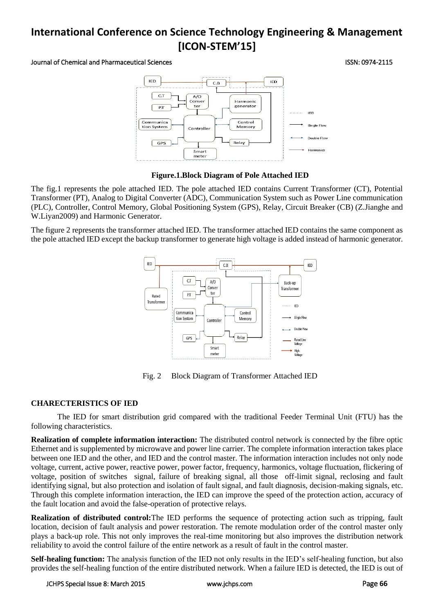#### Journal of Chemical and Pharmaceutical Sciences ISSN: 0974-2115



#### **Figure.1.Block Diagram of Pole Attached IED**

The fig.1 represents the pole attached IED. The pole attached IED contains Current Transformer (CT), Potential Transformer (PT), Analog to Digital Converter (ADC), Communication System such as Power Line communication (PLC), Controller, Control Memory, Global Positioning System (GPS), Relay, Circuit Breaker (CB) (Z.Jianghe and W.Liyan2009) and Harmonic Generator.

The figure 2 represents the transformer attached IED. The transformer attached IED contains the same component as the pole attached IED except the backup transformer to generate high voltage is added instead of harmonic generator.



Fig. 2 Block Diagram of Transformer Attached IED

#### **CHARECTERISTICS OF IED**

The IED for smart distribution grid compared with the traditional Feeder Terminal Unit (FTU) has the following characteristics.

**Realization of complete information interaction:** The distributed control network is connected by the fibre optic Ethernet and is supplemented by microwave and power line carrier. The complete information interaction takes place between one IED and the other, and IED and the control master. The information interaction includes not only node voltage, current, active power, reactive power, power factor, frequency, harmonics, voltage fluctuation, flickering of voltage, position of switches signal, failure of breaking signal, all those off-limit signal, reclosing and fault identifying signal, but also protection and isolation of fault signal, and fault diagnosis, decision-making signals, etc. Through this complete information interaction, the IED can improve the speed of the protection action, accuracy of the fault location and avoid the false-operation of protective relays.

**Realization of distributed control:**The IED performs the sequence of protecting action such as tripping, fault location, decision of fault analysis and power restoration. The remote modulation order of the control master only plays a back-up role. This not only improves the real-time monitoring but also improves the distribution network reliability to avoid the control failure of the entire network as a result of fault in the control master.

**Self-healing function:** The analysis function of the IED not only results in the IED's self-healing function, but also provides the self-healing function of the entire distributed network. When a failure IED is detected, the IED is out of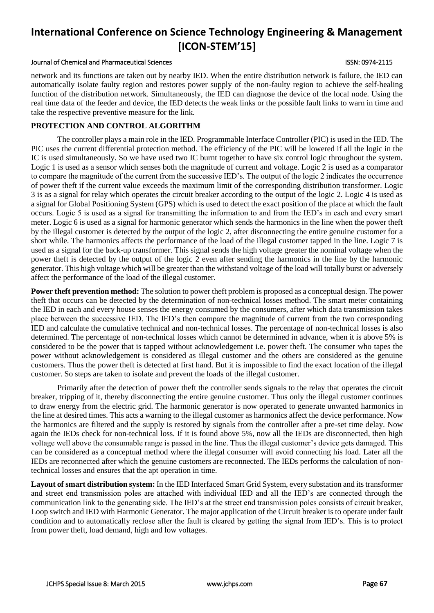#### Journal of Chemical and Pharmaceutical Sciences ISSN: 0974-2115

network and its functions are taken out by nearby IED. When the entire distribution network is failure, the IED can automatically isolate faulty region and restores power supply of the non-faulty region to achieve the self-healing function of the distribution network. Simultaneously, the IED can diagnose the device of the local node. Using the real time data of the feeder and device, the IED detects the weak links or the possible fault links to warn in time and take the respective preventive measure for the link.

#### **PROTECTION AND CONTROL ALGORITHM**

The controller plays a main role in the IED. Programmable Interface Controller (PIC) is used in the IED. The PIC uses the current differential protection method. The efficiency of the PIC will be lowered if all the logic in the IC is used simultaneously. So we have used two IC burnt together to have six control logic throughout the system. Logic 1 is used as a sensor which senses both the magnitude of current and voltage. Logic 2 is used as a comparator to compare the magnitude of the current from the successive IED's. The output of the logic 2 indicates the occurrence of power theft if the current value exceeds the maximum limit of the corresponding distribution transformer. Logic 3 is as a signal for relay which operates the circuit breaker according to the output of the logic 2. Logic 4 is used as a signal for Global Positioning System (GPS) which is used to detect the exact position of the place at which the fault occurs. Logic 5 is used as a signal for transmitting the information to and from the IED's in each and every smart meter. Logic 6 is used as a signal for harmonic generator which sends the harmonics in the line when the power theft by the illegal customer is detected by the output of the logic 2, after disconnecting the entire genuine customer for a short while. The harmonics affects the performance of the load of the illegal customer tapped in the line. Logic 7 is used as a signal for the back-up transformer. This signal sends the high voltage greater the nominal voltage when the power theft is detected by the output of the logic 2 even after sending the harmonics in the line by the harmonic generator. This high voltage which will be greater than the withstand voltage of the load will totally burst or adversely affect the performance of the load of the illegal customer.

**Power theft prevention method:** The solution to power theft problem is proposed as a conceptual design. The power theft that occurs can be detected by the determination of non-technical losses method. The smart meter containing the IED in each and every house senses the energy consumed by the consumers, after which data transmission takes place between the successive IED. The IED's then compare the magnitude of current from the two corresponding IED and calculate the cumulative technical and non-technical losses. The percentage of non-technical losses is also determined. The percentage of non-technical losses which cannot be determined in advance, when it is above 5% is considered to be the power that is tapped without acknowledgement i.e. power theft. The consumer who tapes the power without acknowledgement is considered as illegal customer and the others are considered as the genuine customers. Thus the power theft is detected at first hand. But it is impossible to find the exact location of the illegal customer. So steps are taken to isolate and prevent the loads of the illegal customer.

Primarily after the detection of power theft the controller sends signals to the relay that operates the circuit breaker, tripping of it, thereby disconnecting the entire genuine customer. Thus only the illegal customer continues to draw energy from the electric grid. The harmonic generator is now operated to generate unwanted harmonics in the line at desired times. This acts a warning to the illegal customer as harmonics affect the device performance. Now the harmonics are filtered and the supply is restored by signals from the controller after a pre-set time delay. Now again the IEDs check for non-technical loss. If it is found above 5%, now all the IEDs are disconnected, then high voltage well above the consumable range is passed in the line. Thus the illegal customer's device gets damaged. This can be considered as a conceptual method where the illegal consumer will avoid connecting his load. Later all the IEDs are reconnected after which the genuine customers are reconnected. The IEDs performs the calculation of nontechnical losses and ensures that the apt operation in time.

**Layout of smart distribution system:** In the IED Interfaced Smart Grid System, every substation and its transformer and street end transmission poles are attached with individual IED and all the IED's are connected through the communication link to the generating side. The IED's at the street end transmission poles consists of circuit breaker, Loop switch and IED with Harmonic Generator. The major application of the Circuit breaker is to operate under fault condition and to automatically reclose after the fault is cleared by getting the signal from IED's. This is to protect from power theft, load demand, high and low voltages.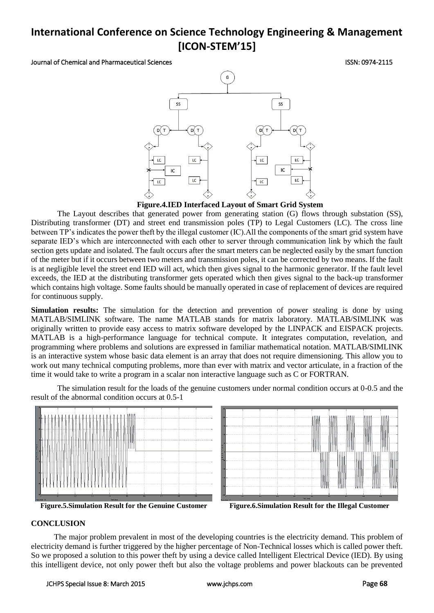Journal of Chemical and Pharmaceutical Sciences ISSN: 0974-2115



#### **Figure.4.IED Interfaced Layout of Smart Grid System**

The Layout describes that generated power from generating station (G) flows through substation (SS), Distributing transformer (DT) and street end transmission poles (TP) to Legal Customers (LC). The cross line between TP's indicates the power theft by the illegal customer (IC).All the components of the smart grid system have separate IED's which are interconnected with each other to server through communication link by which the fault section gets update and isolated. The fault occurs after the smart meters can be neglected easily by the smart function of the meter but if it occurs between two meters and transmission poles, it can be corrected by two means. If the fault is at negligible level the street end IED will act, which then gives signal to the harmonic generator. If the fault level exceeds, the IED at the distributing transformer gets operated which then gives signal to the back-up transformer which contains high voltage. Some faults should be manually operated in case of replacement of devices are required for continuous supply.

**Simulation results:** The simulation for the detection and prevention of power stealing is done by using MATLAB/SIMLINK software. The name MATLAB stands for matrix laboratory. MATLAB/SIMLINK was originally written to provide easy access to matrix software developed by the LINPACK and EISPACK projects. MATLAB is a high-performance language for technical compute. It integrates computation, revelation, and programming where problems and solutions are expressed in familiar mathematical notation. MATLAB/SIMLINK is an interactive system whose basic data element is an array that does not require dimensioning. This allow you to work out many technical computing problems, more than ever with matrix and vector articulate, in a fraction of the time it would take to write a program in a scalar non interactive language such as C or FORTRAN.



The simulation result for the loads of the genuine customers under normal condition occurs at 0-0.5 and the result of the abnormal condition occurs at 0.5-1

**Figure.5.Simulation Result for the Genuine Customer Figure.6.Simulation Result for the Illegal Customer**

#### **CONCLUSION**

The major problem prevalent in most of the developing countries is the electricity demand. This problem of electricity demand is further triggered by the higher percentage of Non-Technical losses which is called power theft. So we proposed a solution to this power theft by using a device called Intelligent Electrical Device (IED). By using this intelligent device, not only power theft but also the voltage problems and power blackouts can be prevented